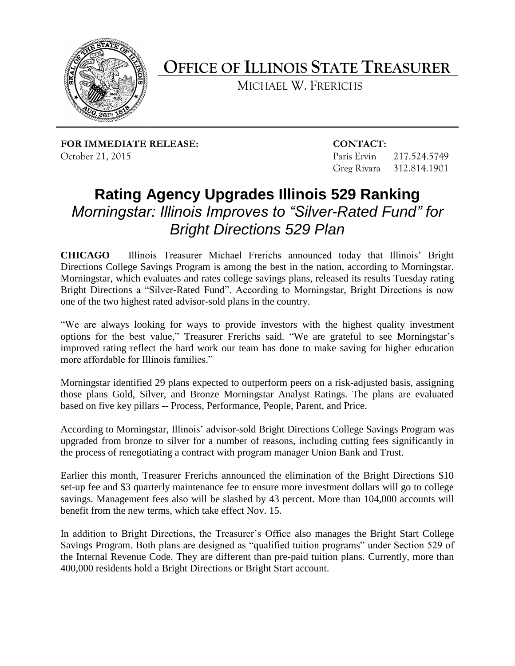

**OFFICE OF ILLINOIS STATE TREASURER**

MICHAEL W. FRERICHS

**FOR IMMEDIATE RELEASE: CONTACT:** October 21, 2015 Paris Ervin 217.524.5749

Greg Rivara 312.814.1901

## **Rating Agency Upgrades Illinois 529 Ranking** *Morningstar: Illinois Improves to "Silver-Rated Fund" for Bright Directions 529 Plan*

**CHICAGO** – Illinois Treasurer Michael Frerichs announced today that Illinois' Bright Directions College Savings Program is among the best in the nation, according to Morningstar. Morningstar, which evaluates and rates college savings plans, released its results Tuesday rating Bright Directions a "Silver-Rated Fund". According to Morningstar, Bright Directions is now one of the two highest rated advisor-sold plans in the country.

"We are always looking for ways to provide investors with the highest quality investment options for the best value," Treasurer Frerichs said. "We are grateful to see Morningstar's improved rating reflect the hard work our team has done to make saving for higher education more affordable for Illinois families."

Morningstar identified 29 plans expected to outperform peers on a risk-adjusted basis, assigning those plans Gold, Silver, and Bronze Morningstar Analyst Ratings. The plans are evaluated based on five key pillars -- Process, Performance, People, Parent, and Price.

According to Morningstar, Illinois' advisor-sold Bright Directions College Savings Program was upgraded from bronze to silver for a number of reasons, including cutting fees significantly in the process of renegotiating a contract with program manager Union Bank and Trust.

Earlier this month, Treasurer Frerichs announced the elimination of the Bright Directions \$10 set-up fee and \$3 quarterly maintenance fee to ensure more investment dollars will go to college savings. Management fees also will be slashed by 43 percent. More than 104,000 accounts will benefit from the new terms, which take effect Nov. 15.

In addition to Bright Directions, the Treasurer's Office also manages the Bright Start College Savings Program. Both plans are designed as "qualified tuition programs" under Section 529 of the Internal Revenue Code. They are different than pre-paid tuition plans. Currently, more than 400,000 residents hold a Bright Directions or Bright Start account.